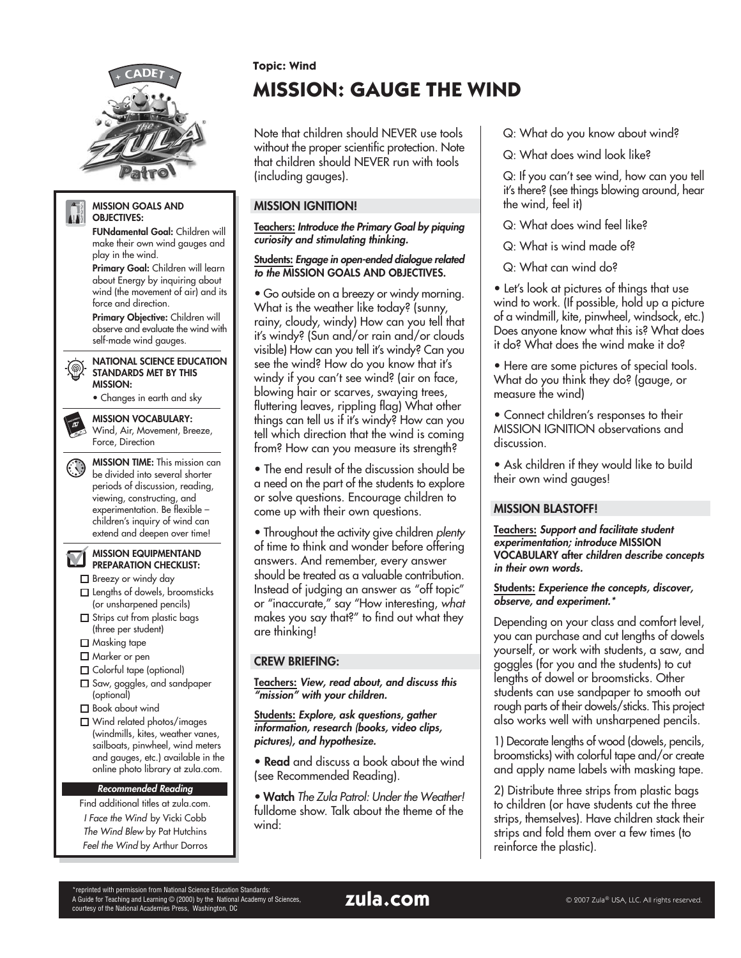

#### **MISSION GOALS AND** AIT. **OBJECTIVES:**

**FUNdamental Goal:** Children will make their own wind gauges and play in the wind.

**Primary Goal:** Children will learn about Energy by inquiring about wind (the movement of air) and its force and direction.

**Primary Objective:** Children will observe and evaluate the wind with self-made wind gauges.

**NATIONAL SCIENCE EDUCATION** STANDARDS MET BY THIS **MISSION:**

• Changes in earth and sky

**MISSION VOCABULARY:** Wind, Air, Movement, Breeze, Force, Direction

**MISSION TIME:** This mission can be divided into several shorter periods of discussion, reading, viewing, constructing, and experimentation. Be flexible – children's inquiry of wind can extend and deepen over time!

**MISSION EQUIPMENTAND**

ÌД **PREPARATION CHECKLIST:** Breezy or windy day

- □ Lengths of dowels, broomsticks (or unsharpened pencils)
- Strips cut from plastic bags (three per student)
- □ Masking tape
- □ Marker or pen
- Colorful tape (optional)
- □ Saw, goggles, and sandpaper (optional)
- Book about wind
- Wind related photos/images (windmills, kites, weather vanes, sailboats, pinwheel, wind meters and gauges, etc.) available in the online photo library at zula.com.

#### **Recommended Reading**

Find additional titles at zula.com. I Face the Wind by Vicki Cobb The Wind Blew by Pat Hutchins Feel the Wind by Arthur Dorros

## **Topic: Wind**

# **MISSION: GAUGE THE WIND**

Note that children should NEVER use tools without the proper scientific protection. Note that children should NEVER run with tools (including gauges).

# **MISSION IGNITION!**

**Teachers: Introduce the Primary Goal by piquing curiosity and stimulating thinking.**

#### **Students: Engage in open-ended dialogue related to the MISSION GOALS AND OBJECTIVES.**

• Go outside on a breezy or windy morning. What is the weather like today? (sunny, rainy, cloudy, windy) How can you tell that it's windy? (Sun and/or rain and/or clouds visible) How can you tell it's windy? Can you see the wind? How do you know that it's windy if you can't see wind? (air on face, blowing hair or scarves, swaying trees, fluttering leaves, rippling flag) What other things can tell us if it's windy? How can you tell which direction that the wind is coming from? How can you measure its strength?

• The end result of the discussion should be a need on the part of the students to explore or solve questions. Encourage children to come up with their own questions.

• Throughout the activity give children plenty of time to think and wonder before offering answers. And remember, every answer should be treated as a valuable contribution. Instead of judging an answer as "off topic" or "inaccurate," say "How interesting, what makes you say that?" to find out what they are thinking!

# **CREW BRIEFING:**

**Teachers: View, read about, and discuss this "mission" with your children.**

**Students: Explore, ask questions, gather information, research (books, video clips, pictures), and hypothesize.**

• **Read** and discuss a book about the wind (see Recommended Reading).

• **Watch** The Zula Patrol: Under the Weather! fulldome show. Talk about the theme of the wind:

Q: What do you know about wind?

Q: What does wind look like?

Q: If you can't see wind, how can you tell it's there? (see things blowing around, hear the wind, feel it)

Q: What does wind feel like?

Q: What is wind made of?

Q: What can wind do?

• Let's look at pictures of things that use wind to work. (If possible, hold up a picture of a windmill, kite, pinwheel, windsock, etc.) Does anyone know what this is? What does it do? What does the wind make it do?

• Here are some pictures of special tools. What do you think they do? (gauge, or measure the wind)

• Connect children's responses to their MISSION IGNITION observations and discussion.

• Ask children if they would like to build their own wind gauges!

### **MISSION BLASTOFF!**

**Teachers: Support and facilitate student experimentation; introduce MISSION VOCABULARY after children describe concepts in their own words.**

#### **Students: Experience the concepts, discover, observe, and experiment.**\*

Depending on your class and comfort level, you can purchase and cut lengths of dowels yourself, or work with students, a saw, and goggles (for you and the students) to cut lengths of dowel or broomsticks. Other students can use sandpaper to smooth out rough parts of their dowels/sticks. This project also works well with unsharpened pencils.

1) Decorate lengths of wood (dowels, pencils, broomsticks) with colorful tape and/or create and apply name labels with masking tape.

2) Distribute three strips from plastic bags to children (or have students cut the three strips, themselves). Have children stack their strips and fold them over a few times (to reinforce the plastic).

\*reprinted with permission from National Science Education Standards:<br>A Guide for Teaching and Learning © (2000) by the National Academy of Sciences, **In the Manual Accomm**<br>courtesy of the National Academies Press, Washing